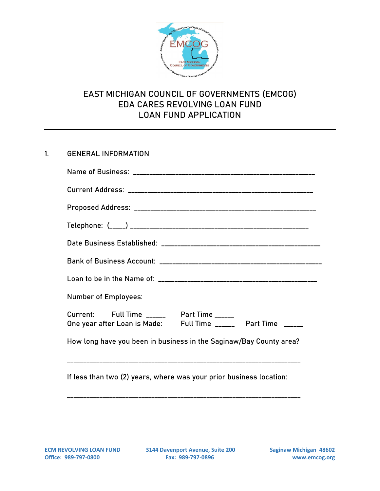

### 1. GENERAL INFORMATION

| <b>Number of Employees:</b>                                                                                  |  |  |  |  |  |
|--------------------------------------------------------------------------------------------------------------|--|--|--|--|--|
| Current: Full Time ______ Part Time _____<br>One year after Loan is Made: Full Time _______ Part Time ______ |  |  |  |  |  |
| How long have you been in business in the Saginaw/Bay County area?                                           |  |  |  |  |  |
|                                                                                                              |  |  |  |  |  |

If less than two (2) years, where was your prior business location:

\_\_\_\_\_\_\_\_\_\_\_\_\_\_\_\_\_\_\_\_\_\_\_\_\_\_\_\_\_\_\_\_\_\_\_\_\_\_\_\_\_\_\_\_\_\_\_\_\_\_\_\_\_\_\_\_\_\_\_\_\_\_\_\_\_\_\_\_\_\_\_\_

ECM REVOLVING LOAN FUND **3144 Davenport Avenue, Suite 200** Saginaw Michigan 48602<br>Office: 989-797-0800 **Fax: 989-797-0896** Www.emcog.org **Office: 989-797-0800 Fax: 989-797-0896 www.emcog.org**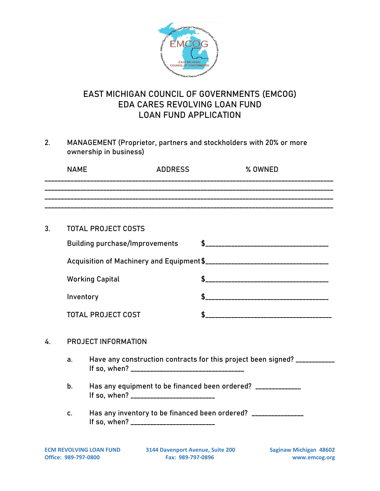

2. MANAGEMENT (Proprietor, partners and stockholders with 20% or more ownership in business)

|                                  | <b>NAME</b>                                                                   |                                                                           | <b>ADDRESS</b> | % OWNED |  |
|----------------------------------|-------------------------------------------------------------------------------|---------------------------------------------------------------------------|----------------|---------|--|
|                                  |                                                                               |                                                                           |                |         |  |
|                                  |                                                                               |                                                                           |                |         |  |
| 3.                               |                                                                               | <b>TOTAL PROJECT COSTS</b>                                                |                |         |  |
|                                  |                                                                               | <b>Building purchase/Improvements</b>                                     |                |         |  |
|                                  |                                                                               |                                                                           |                |         |  |
|                                  | <b>Working Capital</b><br>Inventory<br><b>TOTAL PROJECT COST</b>              |                                                                           |                |         |  |
|                                  |                                                                               |                                                                           |                |         |  |
|                                  |                                                                               |                                                                           |                |         |  |
| <b>PROJECT INFORMATION</b><br>4. |                                                                               |                                                                           |                |         |  |
|                                  | a.                                                                            | Have any construction contracts for this project been signed? ___________ |                |         |  |
|                                  | Has any equipment to be financed been ordered? _____________<br>$\mathbf b$ . |                                                                           |                |         |  |
|                                  |                                                                               | The contract construction of the following and the contract of $\Omega$   |                |         |  |

c. Has any inventory to be financed been ordered? \_\_\_\_\_\_\_\_\_\_\_\_\_\_ If so, when? \_\_\_\_\_\_\_\_\_\_\_\_\_\_\_\_\_\_\_\_\_\_\_\_\_\_

ECM REVOLVING LOAN FUND **3144 Davenport Avenue, Suite 200** Saginaw Michigan 48602<br>Office: 989-797-0800 **Fax: 989-797-0896** Www.emcog.org **Office: 989-797-0800 Fax: 989-797-0896 www.emcog.org**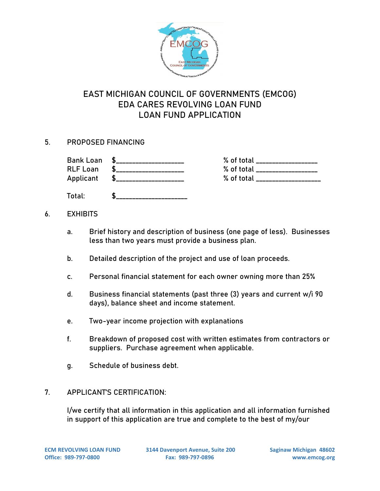

### 5. PROPOSED FINANCING

| <b>Bank Loan</b><br><b>RLF Loan</b><br>Applicant | <b>S</b><br>$\sim$ 5 | % of total<br>% of total<br>% of total |
|--------------------------------------------------|----------------------|----------------------------------------|
| Total:                                           |                      |                                        |

#### 6. EXHIBITS

- a. Brief history and description of business (one page of less). Businesses less than two years must provide a business plan.
- b. Detailed description of the project and use of loan proceeds.
- c. Personal financial statement for each owner owning more than 25%
- d. Business financial statements (past three (3) years and current w/i 90 days), balance sheet and income statement.
- e. Two-year income projection with explanations
- f. Breakdown of proposed cost with written estimates from contractors or suppliers. Purchase agreement when applicable.
- g. Schedule of business debt.

#### 7. APPLICANT'S CERTIFICATION:

I/we certify that all information in this application and all information furnished in support of this application are true and complete to the best of my/our

**ECM REVOLVING LOAN FUND 3144 Davenport Avenue, Suite 200 Saginaw Michigan 48602 Office: 989-797-0800 Fax: 989-797-0896 www.emcog.org**